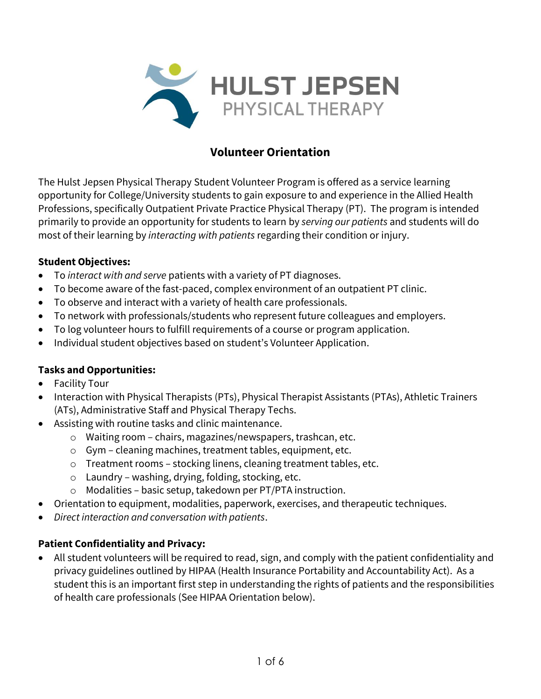

# **Volunteer Orientation**

The Hulst Jepsen Physical Therapy Student Volunteer Program is offered as a service learning opportunity for College/University students to gain exposure to and experience in the Allied Health Professions, specifically Outpatient Private Practice Physical Therapy (PT). The program is intended primarily to provide an opportunity for students to learn by *serving our patients* and students will do most of their learning by *interacting with patients* regarding their condition or injury.

## **Student Objectives:**

- To *interact with and serve* patients with a variety of PT diagnoses.
- To become aware of the fast-paced, complex environment of an outpatient PT clinic.
- To observe and interact with a variety of health care professionals.
- To network with professionals/students who represent future colleagues and employers.
- To log volunteer hours to fulfill requirements of a course or program application.
- Individual student objectives based on student's Volunteer Application.

## **Tasks and Opportunities:**

- Facility Tour
- Interaction with Physical Therapists (PTs), Physical Therapist Assistants (PTAs), Athletic Trainers (ATs), Administrative Staff and Physical Therapy Techs.
- Assisting with routine tasks and clinic maintenance.
	- o Waiting room chairs, magazines/newspapers, trashcan, etc.
	- o Gym cleaning machines, treatment tables, equipment, etc.
	- o Treatment rooms stocking linens, cleaning treatment tables, etc.
	- o Laundry washing, drying, folding, stocking, etc.
	- o Modalities basic setup, takedown per PT/PTA instruction.
- Orientation to equipment, modalities, paperwork, exercises, and therapeutic techniques.
- *Direct interaction and conversation with patients*.

## **Patient Confidentiality and Privacy:**

• All student volunteers will be required to read, sign, and comply with the patient confidentiality and privacy guidelines outlined by HIPAA (Health Insurance Portability and Accountability Act). As a student this is an important first step in understanding the rights of patients and the responsibilities of health care professionals (See HIPAA Orientation below).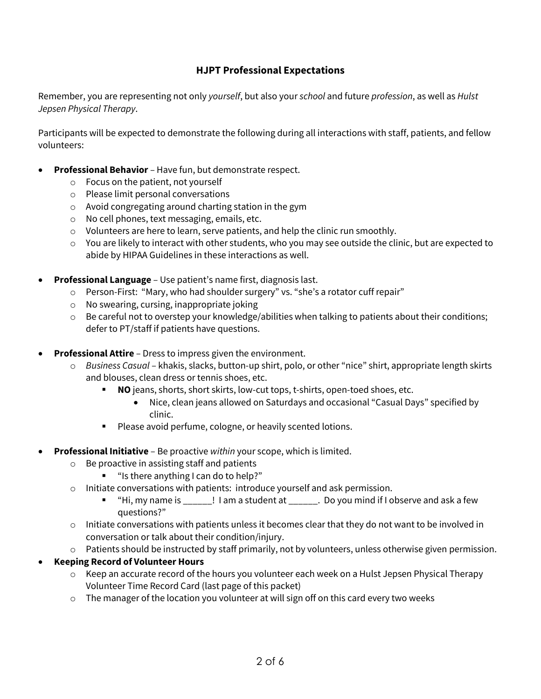### **HJPT Professional Expectations**

Remember, you are representing not only *yourself*, but also your *school* and future *profession*, as well as *Hulst Jepsen Physical Therapy*.

Participants will be expected to demonstrate the following during all interactions with staff, patients, and fellow volunteers:

- **Professional Behavior** Have fun, but demonstrate respect.
	- o Focus on the patient, not yourself
	- o Please limit personal conversations
	- o Avoid congregating around charting station in the gym
	- o No cell phones, text messaging, emails, etc.
	- o Volunteers are here to learn, serve patients, and help the clinic run smoothly.
	- o You are likely to interact with other students, who you may see outside the clinic, but are expected to abide by HIPAA Guidelines in these interactions as well.
- **Professional Language** Use patient's name first, diagnosis last.
	- $\circ$  Person-First: "Mary, who had shoulder surgery" vs. "she's a rotator cuff repair"
	- o No swearing, cursing, inappropriate joking
	- $\circ$  Be careful not to overstep your knowledge/abilities when talking to patients about their conditions; defer to PT/staff if patients have questions.
- **Professional Attire** Dress to impress given the environment.
	- o *Business Casual* khakis, slacks, button-up shirt, polo, or other "nice" shirt, appropriate length skirts and blouses, clean dress or tennis shoes, etc.
		- **NO** jeans, shorts, short skirts, low-cut tops, t-shirts, open-toed shoes, etc.
			- Nice, clean jeans allowed on Saturdays and occasional "Casual Days" specified by clinic.
		- Please avoid perfume, cologne, or heavily scented lotions.
- **Professional Initiative** Be proactive *within* your scope, which is limited.
	- o Be proactive in assisting staff and patients
		- "Is there anything I can do to help?"
	- o Initiate conversations with patients: introduce yourself and ask permission.
		- "Hi, my name is \_\_\_\_\_\_! I am a student at \_\_\_\_\_\_. Do you mind if I observe and ask a few questions?"
	- $\circ$  Initiate conversations with patients unless it becomes clear that they do not want to be involved in conversation or talk about their condition/injury.
	- o Patients should be instructed by staff primarily, not by volunteers, unless otherwise given permission.

### • **Keeping Record of Volunteer Hours**

- o Keep an accurate record of the hours you volunteer each week on a Hulst Jepsen Physical Therapy Volunteer Time Record Card (last page of this packet)
- $\circ$  The manager of the location you volunteer at will sign off on this card every two weeks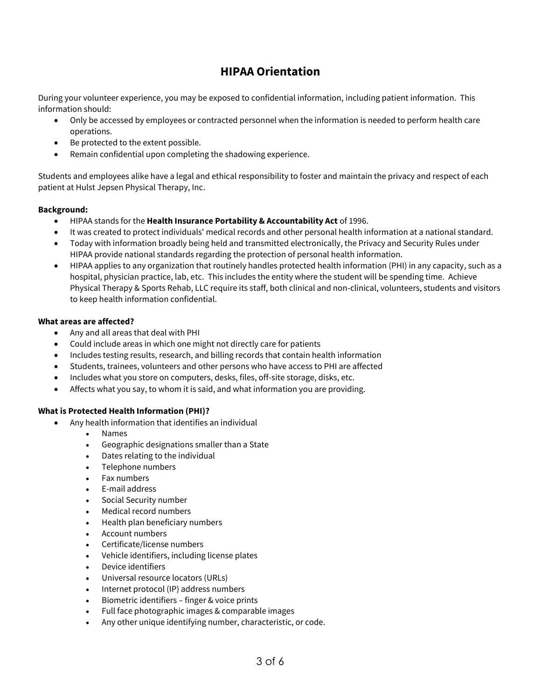## **HIPAA Orientation**

During your volunteer experience, you may be exposed to confidential information, including patient information. This information should:

- Only be accessed by employees or contracted personnel when the information is needed to perform health care operations.
- Be protected to the extent possible.
- Remain confidential upon completing the shadowing experience.

Students and employees alike have a legal and ethical responsibility to foster and maintain the privacy and respect of each patient at Hulst Jepsen Physical Therapy, Inc.

#### **Background:**

- HIPAA stands for the **Health Insurance Portability & Accountability Act** of 1996.
- It was created to protect individuals' medical records and other personal health information at a national standard.
- Today with information broadly being held and transmitted electronically, the Privacy and Security Rules under HIPAA provide national standards regarding the protection of personal health information.
- HIPAA applies to any organization that routinely handles protected health information (PHI) in any capacity, such as a hospital, physician practice, lab, etc. This includes the entity where the student will be spending time. Achieve Physical Therapy & Sports Rehab, LLC require its staff, both clinical and non-clinical, volunteers, students and visitors to keep health information confidential.

#### **What areas are affected?**

- Any and all areas that deal with PHI
- Could include areas in which one might not directly care for patients
- Includes testing results, research, and billing records that contain health information
- Students, trainees, volunteers and other persons who have access to PHI are affected
- Includes what you store on computers, desks, files, off-site storage, disks, etc.
- Affects what you say, to whom it is said, and what information you are providing.

### **What is Protected Health Information (PHI)?**

- Any health information that identifies an individual
	- Names
	- Geographic designations smaller than a State
	- Dates relating to the individual
	- Telephone numbers
	- Fax numbers
	- E-mail address
	- Social Security number
	- Medical record numbers
	- Health plan beneficiary numbers
	- Account numbers
	- Certificate/license numbers
	- Vehicle identifiers, including license plates
	- Device identifiers
	- Universal resource locators (URLs)
	- Internet protocol (IP) address numbers
	- Biometric identifiers finger & voice prints
	- Full face photographic images & comparable images
	- Any other unique identifying number, characteristic, or code.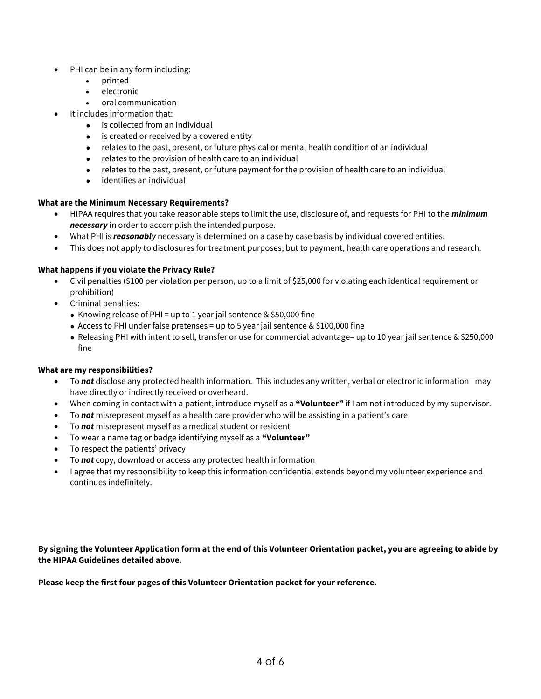- PHI can be in any form including:
	- printed
	- electronic
	- oral communication
- It includes information that:
	- **\*** is collected from an individual
	- is created or received by a covered entity
	- relates to the past, present, or future physical or mental health condition of an individual
	- relates to the provision of health care to an individual
	- relates to the past, present, or future payment for the provision of health care to an individual
	- identifies an individual

### **What are the Minimum Necessary Requirements?**

- HIPAA requires that you take reasonable steps to limit the use, disclosure of, and requests for PHI to the *minimum necessary* in order to accomplish the intended purpose.
- What PHI is *reasonably* necessary is determined on a case by case basis by individual covered entities.
- This does not apply to disclosures for treatment purposes, but to payment, health care operations and research.

### **What happens if you violate the Privacy Rule?**

- Civil penalties (\$100 per violation per person, up to a limit of \$25,000 for violating each identical requirement or prohibition)
- Criminal penalties:
	- Knowing release of PHI = up to 1 year jail sentence & \$50,000 fine
	- Access to PHI under false pretenses = up to 5 year jail sentence & \$100,000 fine
	- Releasing PHI with intent to sell, transfer or use for commercial advantage= up to 10 year jail sentence & \$250,000 fine

### **What are my responsibilities?**

- To *not* disclose any protected health information. This includes any written, verbal or electronic information I may have directly or indirectly received or overheard.
- When coming in contact with a patient, introduce myself as a **"Volunteer"** if I am not introduced by my supervisor.
- To *not* misrepresent myself as a health care provider who will be assisting in a patient's care
- To *not* misrepresent myself as a medical student or resident
- To wear a name tag or badge identifying myself as a **"Volunteer"**
- To respect the patients' privacy
- To *not* copy, download or access any protected health information
- I agree that my responsibility to keep this information confidential extends beyond my volunteer experience and continues indefinitely.

### **By signing the Volunteer Application form at the end of this Volunteer Orientation packet, you are agreeing to abide by the HIPAA Guidelines detailed above.**

**Please keep the first four pages of this Volunteer Orientation packet for your reference.**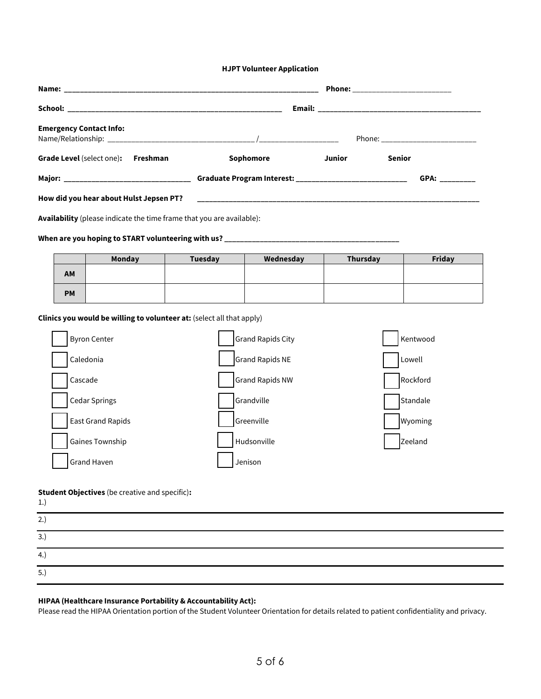#### **HJPT Volunteer Application**

|                                         |  |                                                           | Phone: __________________________ |        |        |                                                                                                                                                                                                                                |
|-----------------------------------------|--|-----------------------------------------------------------|-----------------------------------|--------|--------|--------------------------------------------------------------------------------------------------------------------------------------------------------------------------------------------------------------------------------|
|                                         |  |                                                           |                                   |        |        |                                                                                                                                                                                                                                |
| <b>Emergency Contact Info:</b>          |  |                                                           |                                   |        |        | Phone: _________________________                                                                                                                                                                                               |
| Grade Level (select one): Freshman      |  | Sophomore                                                 |                                   | Junior | Senior |                                                                                                                                                                                                                                |
|                                         |  | Graduate Program Interest: ______________________________ |                                   |        |        | GPA: the contract of the contract of the contract of the contract of the contract of the contract of the contract of the contract of the contract of the contract of the contract of the contract of the contract of the contr |
| How did you hear about Hulst Jepsen PT? |  |                                                           |                                   |        |        |                                                                                                                                                                                                                                |

**Availability** (please indicate the time frame that you are available):

### **When are you hoping to START volunteering with us? \_\_\_\_\_\_\_\_\_\_\_\_\_\_\_\_\_\_\_\_\_\_\_\_\_\_\_\_\_\_\_\_\_\_\_\_\_\_\_\_\_\_\_\_**

|           | Monday | Tuesday | Wednesday | Thursday | Friday |
|-----------|--------|---------|-----------|----------|--------|
| AM        |        |         |           |          |        |
| <b>PM</b> |        |         |           |          |        |

#### **Clinics you would be willing to volunteer at:** (select all that apply)

| <b>Byron Center</b>  | <b>Grand Rapids City</b> | Kentwood |
|----------------------|--------------------------|----------|
| Caledonia            | <b>Grand Rapids NE</b>   | Lowell   |
| Cascade              | <b>Grand Rapids NW</b>   | Rockford |
| <b>Cedar Springs</b> | Grandville               | Standale |
| East Grand Rapids    | Greenville               | Wyoming  |
| Gaines Township      | Hudsonville              | Zeeland  |
| <b>Grand Haven</b>   | Jenison                  |          |

#### **Student Objectives** (be creative and specific)**:**

| <b>.</b>                  |  |
|---------------------------|--|
| $\Omega$<br>$\mathcal{L}$ |  |
| 3.                        |  |
| 4.1                       |  |
| 5.)                       |  |

#### **HIPAA (Healthcare Insurance Portability & Accountability Act):**

Please read the HIPAA Orientation portion of the Student Volunteer Orientation for details related to patient confidentiality and privacy.